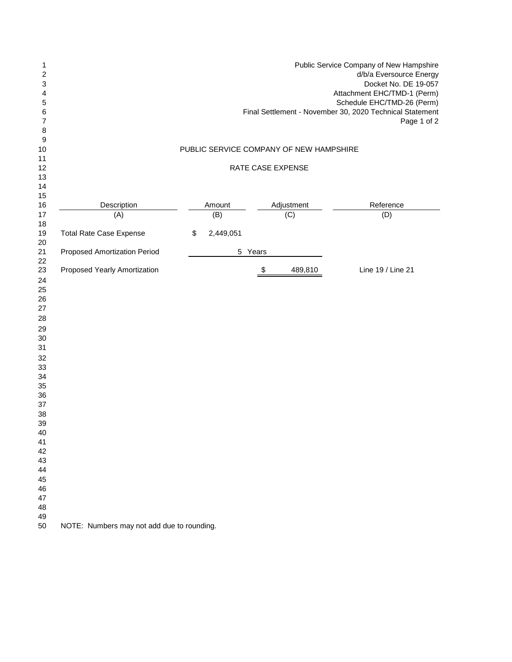| 1<br>2<br>3<br>4<br>5<br>6<br>7<br>8                                                                                                                     | Public Service Company of New Hampshire<br>d/b/a Eversource Energy<br>Docket No. DE 19-057<br>Attachment EHC/TMD-1 (Perm)<br>Schedule EHC/TMD-26 (Perm)<br>Final Settlement - November 30, 2020 Technical Statement<br>Page 1 of 2 |                 |                                         |                   |  |  |  |  |  |
|----------------------------------------------------------------------------------------------------------------------------------------------------------|------------------------------------------------------------------------------------------------------------------------------------------------------------------------------------------------------------------------------------|-----------------|-----------------------------------------|-------------------|--|--|--|--|--|
| 9<br>10                                                                                                                                                  |                                                                                                                                                                                                                                    |                 | PUBLIC SERVICE COMPANY OF NEW HAMPSHIRE |                   |  |  |  |  |  |
| 11<br>12<br>13                                                                                                                                           | RATE CASE EXPENSE                                                                                                                                                                                                                  |                 |                                         |                   |  |  |  |  |  |
| 14<br>15                                                                                                                                                 |                                                                                                                                                                                                                                    |                 |                                         |                   |  |  |  |  |  |
| 16                                                                                                                                                       | Description                                                                                                                                                                                                                        | Amount          | Adjustment                              | Reference         |  |  |  |  |  |
| 17                                                                                                                                                       | (A)                                                                                                                                                                                                                                | (B)             | (C)                                     | (D)               |  |  |  |  |  |
| 18<br>19<br>20                                                                                                                                           | <b>Total Rate Case Expense</b>                                                                                                                                                                                                     | 2,449,051<br>\$ |                                         |                   |  |  |  |  |  |
| 21<br>22                                                                                                                                                 | <b>Proposed Amortization Period</b>                                                                                                                                                                                                | $\sqrt{5}$      | Years                                   |                   |  |  |  |  |  |
| 23<br>24<br>25<br>26<br>27<br>28<br>29<br>30<br>31<br>32<br>33<br>34<br>35<br>36<br>37<br>38<br>39<br>40<br>41<br>42<br>43<br>44<br>45<br>46<br>47<br>48 | Proposed Yearly Amortization                                                                                                                                                                                                       |                 | 489,810<br>\$                           | Line 19 / Line 21 |  |  |  |  |  |
| 49<br>50                                                                                                                                                 | NOTE: Numbers may not add due to rounding.                                                                                                                                                                                         |                 |                                         |                   |  |  |  |  |  |